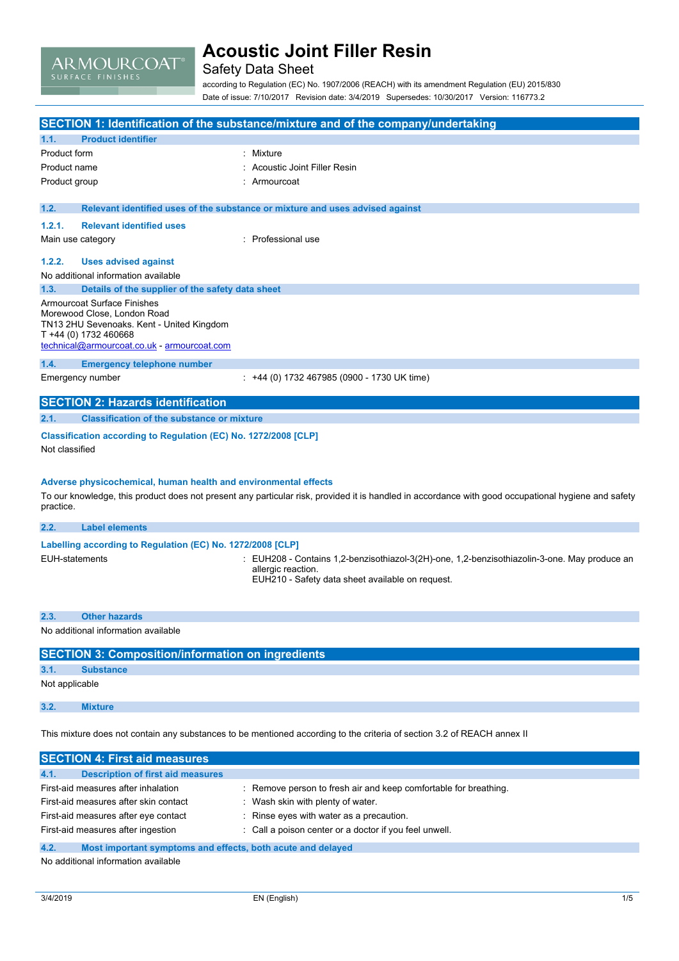

### Safety Data Sheet

according to Regulation (EC) No. 1907/2006 (REACH) with its amendment Regulation (EU) 2015/830 Date of issue: 7/10/2017 Revision date: 3/4/2019 Supersedes: 10/30/2017 Version: 116773.2

|                                                                    | SECTION 1: Identification of the substance/mixture and of the company/undertaking                                                                   |
|--------------------------------------------------------------------|-----------------------------------------------------------------------------------------------------------------------------------------------------|
| 1.1.<br><b>Product identifier</b>                                  |                                                                                                                                                     |
| Product form                                                       | : Mixture                                                                                                                                           |
| Product name                                                       | Acoustic Joint Filler Resin                                                                                                                         |
| Product group                                                      | Armourcoat                                                                                                                                          |
|                                                                    |                                                                                                                                                     |
| 1.2.                                                               | Relevant identified uses of the substance or mixture and uses advised against                                                                       |
| 1.2.1.<br><b>Relevant identified uses</b>                          |                                                                                                                                                     |
| Main use category                                                  | Professional use                                                                                                                                    |
| 1.2.2.<br><b>Uses advised against</b>                              |                                                                                                                                                     |
| No additional information available                                |                                                                                                                                                     |
| Details of the supplier of the safety data sheet<br>1.3.           |                                                                                                                                                     |
| Armourcoat Surface Finishes                                        |                                                                                                                                                     |
| Morewood Close, London Road                                        |                                                                                                                                                     |
| TN13 2HU Sevenoaks. Kent - United Kingdom<br>T +44 (0) 1732 460668 |                                                                                                                                                     |
| technical@armourcoat.co.uk - armourcoat.com                        |                                                                                                                                                     |
| 1.4.<br><b>Emergency telephone number</b>                          |                                                                                                                                                     |
| Emergency number                                                   | : +44 (0) 1732 467985 (0900 - 1730 UK time)                                                                                                         |
|                                                                    |                                                                                                                                                     |
| <b>SECTION 2: Hazards identification</b>                           |                                                                                                                                                     |
| <b>Classification of the substance or mixture</b><br>2.1.          |                                                                                                                                                     |
| Classification according to Regulation (EC) No. 1272/2008 [CLP]    |                                                                                                                                                     |
| Not classified                                                     |                                                                                                                                                     |
|                                                                    |                                                                                                                                                     |
| Adverse physicochemical, human health and environmental effects    |                                                                                                                                                     |
|                                                                    | To our knowledge, this product does not present any particular risk, provided it is handled in accordance with good occupational hygiene and safety |
| practice.                                                          |                                                                                                                                                     |
| <b>Label elements</b><br>2.2.                                      |                                                                                                                                                     |
| Labelling according to Regulation (EC) No. 1272/2008 [CLP]         |                                                                                                                                                     |
| <b>EUH-statements</b>                                              | EUH208 - Contains 1,2-benzisothiazol-3(2H)-one, 1,2-benzisothiazolin-3-one. May produce an                                                          |
|                                                                    | allergic reaction.<br>EUH210 - Safety data sheet available on request.                                                                              |
|                                                                    |                                                                                                                                                     |
|                                                                    |                                                                                                                                                     |
| <b>Other hazards</b><br>2.3.                                       |                                                                                                                                                     |
| No additional information available                                |                                                                                                                                                     |
| <b>SECTION 3: Composition/information on ingredients</b>           |                                                                                                                                                     |
| 3.1.<br><b>Substance</b>                                           |                                                                                                                                                     |
| Not applicable                                                     |                                                                                                                                                     |
|                                                                    |                                                                                                                                                     |
| 3.2.<br><b>Mixture</b>                                             |                                                                                                                                                     |

This mixture does not contain any substances to be mentioned according to the criteria of section 3.2 of REACH annex II

| <b>SECTION 4: First aid measures</b>                                |                                                                  |
|---------------------------------------------------------------------|------------------------------------------------------------------|
| 4.1.<br><b>Description of first aid measures</b>                    |                                                                  |
| First-aid measures after inhalation                                 | : Remove person to fresh air and keep comfortable for breathing. |
| First-aid measures after skin contact                               | : Wash skin with plenty of water.                                |
| First-aid measures after eye contact                                | : Rinse eyes with water as a precaution.                         |
| First-aid measures after ingestion                                  | : Call a poison center or a doctor if you feel unwell.           |
| 4.2.<br>Most important symptoms and effects, both acute and delayed |                                                                  |
| this is additional information or cultural                          |                                                                  |

No additional information available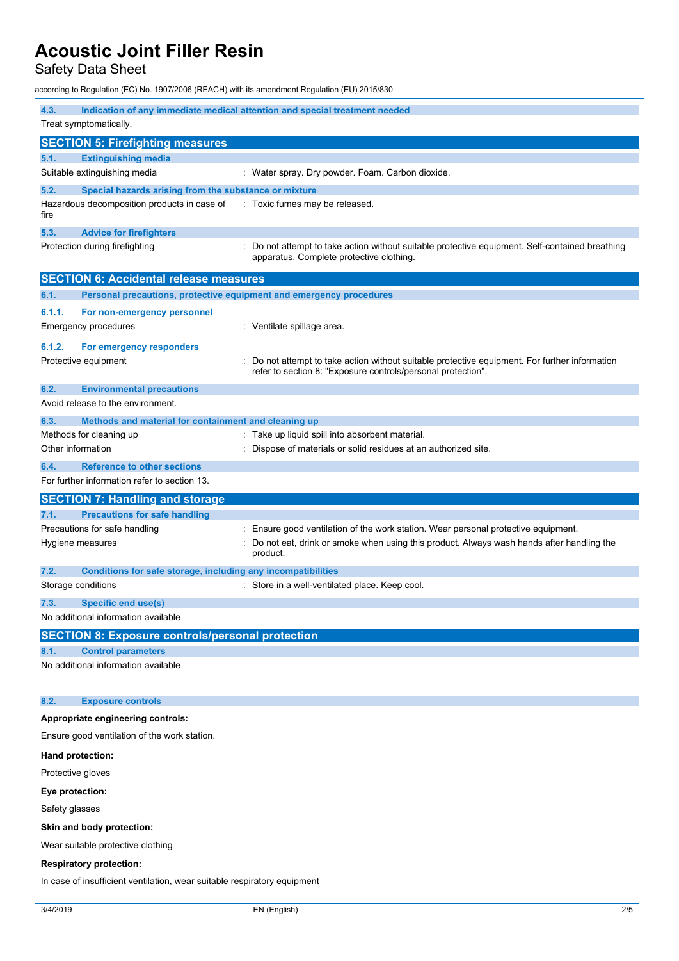Safety Data Sheet

according to Regulation (EC) No. 1907/2006 (REACH) with its amendment Regulation (EU) 2015/830

| 4.3.              |                                                                                                            | Indication of any immediate medical attention and special treatment needed                                                                                                               |
|-------------------|------------------------------------------------------------------------------------------------------------|------------------------------------------------------------------------------------------------------------------------------------------------------------------------------------------|
|                   | Treat symptomatically.                                                                                     |                                                                                                                                                                                          |
|                   | <b>SECTION 5: Firefighting measures</b>                                                                    |                                                                                                                                                                                          |
| 5.1.              | <b>Extinguishing media</b>                                                                                 |                                                                                                                                                                                          |
|                   | Suitable extinguishing media                                                                               | : Water spray. Dry powder. Foam. Carbon dioxide.                                                                                                                                         |
| 5.2.              | Special hazards arising from the substance or mixture                                                      |                                                                                                                                                                                          |
| fire              | Hazardous decomposition products in case of                                                                | : Toxic fumes may be released.                                                                                                                                                           |
| 5.3.              | <b>Advice for firefighters</b>                                                                             |                                                                                                                                                                                          |
|                   | Protection during firefighting                                                                             | Do not attempt to take action without suitable protective equipment. Self-contained breathing<br>apparatus. Complete protective clothing.                                                |
|                   | <b>SECTION 6: Accidental release measures</b>                                                              |                                                                                                                                                                                          |
| 6.1.              | Personal precautions, protective equipment and emergency procedures                                        |                                                                                                                                                                                          |
| 6.1.1.            | For non-emergency personnel                                                                                |                                                                                                                                                                                          |
|                   | <b>Emergency procedures</b>                                                                                | : Ventilate spillage area.                                                                                                                                                               |
| 6.1.2.            | For emergency responders                                                                                   |                                                                                                                                                                                          |
|                   | Protective equipment                                                                                       | Do not attempt to take action without suitable protective equipment. For further information<br>refer to section 8: "Exposure controls/personal protection".                             |
| 6.2.              | <b>Environmental precautions</b>                                                                           |                                                                                                                                                                                          |
|                   | Avoid release to the environment.                                                                          |                                                                                                                                                                                          |
| 6.3.              | Methods and material for containment and cleaning up                                                       |                                                                                                                                                                                          |
|                   | Methods for cleaning up                                                                                    | : Take up liquid spill into absorbent material.                                                                                                                                          |
|                   | Other information                                                                                          | Dispose of materials or solid residues at an authorized site.                                                                                                                            |
| 6.4.              | <b>Reference to other sections</b>                                                                         |                                                                                                                                                                                          |
|                   | For further information refer to section 13.                                                               |                                                                                                                                                                                          |
|                   | <b>SECTION 7: Handling and storage</b>                                                                     |                                                                                                                                                                                          |
|                   |                                                                                                            |                                                                                                                                                                                          |
| 7.1.              | <b>Precautions for safe handling</b>                                                                       |                                                                                                                                                                                          |
|                   | Precautions for safe handling<br>Hygiene measures                                                          | Ensure good ventilation of the work station. Wear personal protective equipment.<br>Do not eat, drink or smoke when using this product. Always wash hands after handling the<br>product. |
| 7.2.              | <b>Conditions for safe storage, including any incompatibilities</b>                                        |                                                                                                                                                                                          |
|                   | Storage conditions                                                                                         | : Store in a well-ventilated place. Keep cool.                                                                                                                                           |
| 7.3.              | Specific end use(s)                                                                                        |                                                                                                                                                                                          |
|                   | No additional information available                                                                        |                                                                                                                                                                                          |
|                   | <b>SECTION 8: Exposure controls/personal protection</b>                                                    |                                                                                                                                                                                          |
| 8.1.              | <b>Control parameters</b>                                                                                  |                                                                                                                                                                                          |
|                   | No additional information available                                                                        |                                                                                                                                                                                          |
| 8.2.              | <b>Exposure controls</b>                                                                                   |                                                                                                                                                                                          |
|                   | Appropriate engineering controls:                                                                          |                                                                                                                                                                                          |
|                   | Ensure good ventilation of the work station.                                                               |                                                                                                                                                                                          |
|                   | Hand protection:                                                                                           |                                                                                                                                                                                          |
| Protective gloves |                                                                                                            |                                                                                                                                                                                          |
| Eye protection:   |                                                                                                            |                                                                                                                                                                                          |
| Safety glasses    |                                                                                                            |                                                                                                                                                                                          |
|                   |                                                                                                            |                                                                                                                                                                                          |
|                   | Skin and body protection:                                                                                  |                                                                                                                                                                                          |
|                   | Wear suitable protective clothing                                                                          |                                                                                                                                                                                          |
|                   | <b>Respiratory protection:</b><br>In case of insufficient ventilation, wear suitable respiratory equipment |                                                                                                                                                                                          |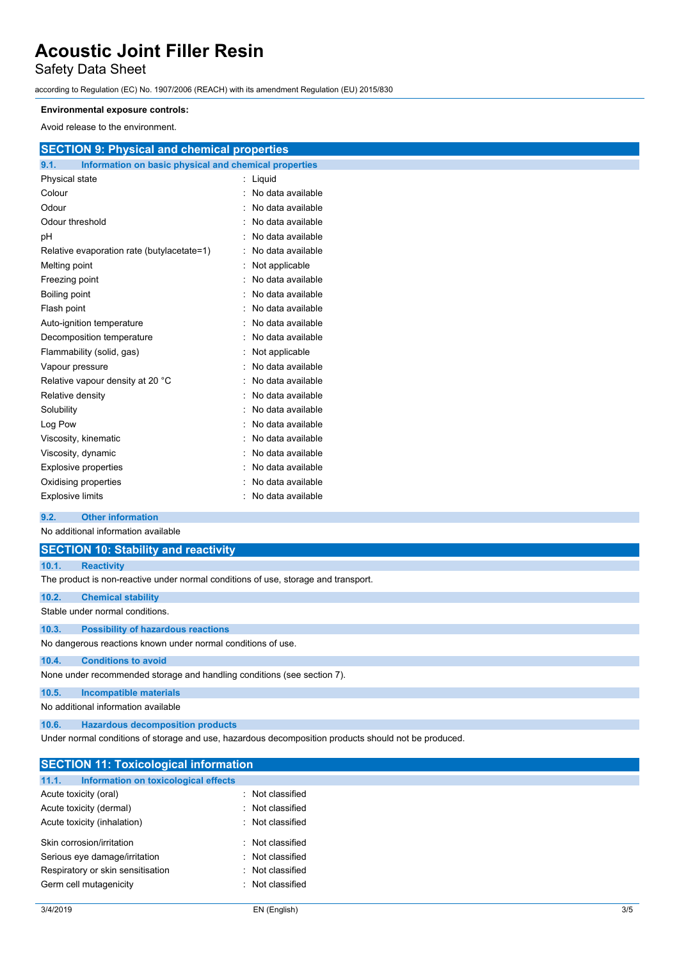## Safety Data Sheet

according to Regulation (EC) No. 1907/2006 (REACH) with its amendment Regulation (EU) 2015/830

#### **Environmental exposure controls:**

Avoid release to the environment.

| <b>SECTION 9: Physical and chemical properties</b>            |                     |
|---------------------------------------------------------------|---------------------|
| 9.1.<br>Information on basic physical and chemical properties |                     |
| Physical state                                                | : Liquid            |
| Colour                                                        | : No data available |
| Odour                                                         | : No data available |
| Odour threshold                                               | : No data available |
| pH                                                            | : No data available |
| Relative evaporation rate (butylacetate=1)                    | : No data available |
| Melting point                                                 | : Not applicable    |
| Freezing point                                                | : No data available |
| Boiling point                                                 | : No data available |
| Flash point                                                   | : No data available |
| Auto-ignition temperature                                     | : No data available |
| Decomposition temperature                                     | : No data available |
| Flammability (solid, gas)                                     | : Not applicable    |
| Vapour pressure                                               | : No data available |
| Relative vapour density at 20 °C                              | : No data available |
| Relative density                                              | : No data available |
| Solubility                                                    | : No data available |
| Log Pow                                                       | : No data available |
| Viscosity, kinematic                                          | : No data available |
| Viscosity, dynamic                                            | : No data available |
| <b>Explosive properties</b>                                   | : No data available |

#### **9.2. Other information**

No additional information available

Oxidising properties **in the contract of the Contract August** 2012 : No data available Explosive limits **Explosive limits Explosive limits Explosive limits Explosive limits** 

|       | <b>SECTION 10: Stability and reactivity</b>                                        |
|-------|------------------------------------------------------------------------------------|
| 10.1. | <b>Reactivity</b>                                                                  |
|       | The product is non-reactive under normal conditions of use, storage and transport. |
| 10.2. | <b>Chemical stability</b>                                                          |
|       | Stable under normal conditions.                                                    |
| 10.3. | <b>Possibility of hazardous reactions</b>                                          |
|       | No dangerous reactions known under normal conditions of use.                       |
| 10.4. | <b>Conditions to avoid</b>                                                         |
|       | None under recommended storage and handling conditions (see section 7).            |
| 10.5. | Incompatible materials                                                             |
|       | No additional information available                                                |
| 10.6. | <b>Hazardous decomposition products</b>                                            |

Under normal conditions of storage and use, hazardous decomposition products should not be produced.

| <b>SECTION 11: Toxicological information</b>  |                  |
|-----------------------------------------------|------------------|
| Information on toxicological effects<br>11.1. |                  |
| Acute toxicity (oral)                         | : Not classified |
| Acute toxicity (dermal)                       | : Not classified |
| Acute toxicity (inhalation)                   | : Not classified |
| Skin corrosion/irritation                     | : Not classified |
| Serious eye damage/irritation                 | : Not classified |
| Respiratory or skin sensitisation             | : Not classified |
| Germ cell mutagenicity                        | : Not classified |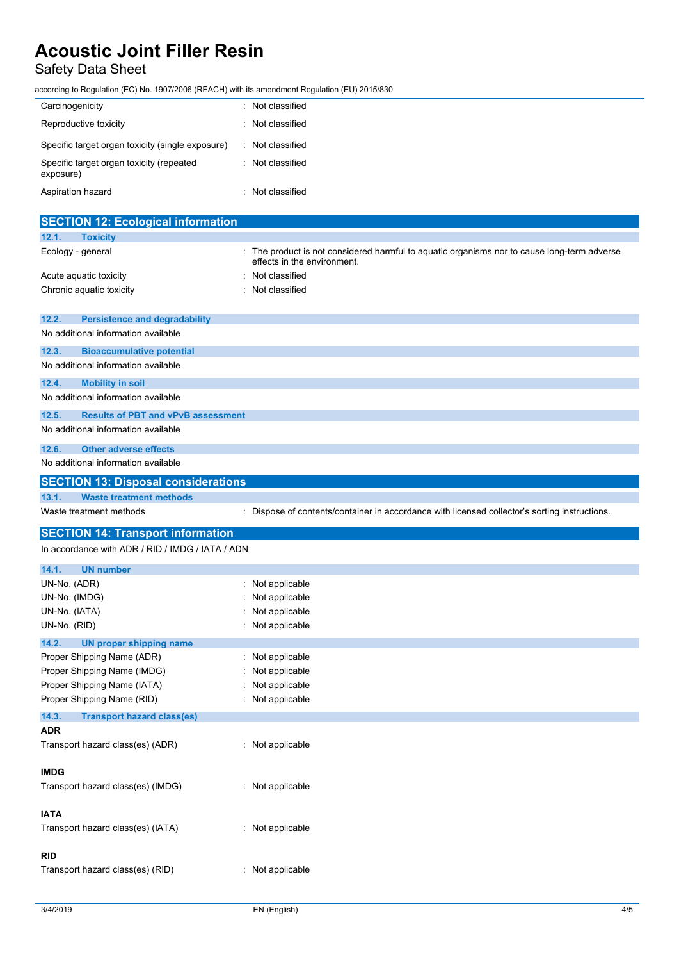## Safety Data Sheet

according to Regulation (EC) No. 1907/2006 (REACH) with its amendment Regulation (EU) 2015/830

| Carcinogenicity                                       | : Not classified |
|-------------------------------------------------------|------------------|
| Reproductive toxicity                                 | : Not classified |
| Specific target organ toxicity (single exposure)      | : Not classified |
| Specific target organ toxicity (repeated<br>exposure) | : Not classified |
| Aspiration hazard                                     | : Not classified |

|                   | <b>SECTION 12: Ecological information</b>        |                                                                                                                          |
|-------------------|--------------------------------------------------|--------------------------------------------------------------------------------------------------------------------------|
| 12.1.             | <b>Toxicity</b>                                  |                                                                                                                          |
| Ecology - general |                                                  | The product is not considered harmful to aquatic organisms nor to cause long-term adverse<br>effects in the environment. |
|                   | Acute aquatic toxicity                           | Not classified                                                                                                           |
|                   | Chronic aquatic toxicity                         | Not classified                                                                                                           |
| 12.2.             | <b>Persistence and degradability</b>             |                                                                                                                          |
|                   | No additional information available              |                                                                                                                          |
| 12.3.             | <b>Bioaccumulative potential</b>                 |                                                                                                                          |
|                   | No additional information available              |                                                                                                                          |
| 12.4.             | <b>Mobility in soil</b>                          |                                                                                                                          |
|                   | No additional information available              |                                                                                                                          |
| 12.5.             | <b>Results of PBT and vPvB assessment</b>        |                                                                                                                          |
|                   | No additional information available              |                                                                                                                          |
| 12.6.             | <b>Other adverse effects</b>                     |                                                                                                                          |
|                   | No additional information available              |                                                                                                                          |
|                   | <b>SECTION 13: Disposal considerations</b>       |                                                                                                                          |
| 13.1.             | <b>Waste treatment methods</b>                   |                                                                                                                          |
|                   | Waste treatment methods                          | : Dispose of contents/container in accordance with licensed collector's sorting instructions.                            |
|                   |                                                  |                                                                                                                          |
|                   | <b>SECTION 14: Transport information</b>         |                                                                                                                          |
|                   | In accordance with ADR / RID / IMDG / IATA / ADN |                                                                                                                          |
|                   |                                                  |                                                                                                                          |
| 14.1.             | <b>UN number</b>                                 |                                                                                                                          |
| UN-No. (ADR)      |                                                  | Not applicable                                                                                                           |
| UN-No. (IMDG)     |                                                  | Not applicable                                                                                                           |
| UN-No. (IATA)     |                                                  | Not applicable                                                                                                           |
| UN-No. (RID)      |                                                  | Not applicable                                                                                                           |
| 14.2.             | <b>UN proper shipping name</b>                   |                                                                                                                          |
|                   | Proper Shipping Name (ADR)                       | : Not applicable                                                                                                         |
|                   | Proper Shipping Name (IMDG)                      | Not applicable                                                                                                           |
|                   | Proper Shipping Name (IATA)                      | Not applicable                                                                                                           |
|                   | Proper Shipping Name (RID)                       | : Not applicable                                                                                                         |
| 14.3.             | <b>Transport hazard class(es)</b>                |                                                                                                                          |
| ADR               |                                                  |                                                                                                                          |
|                   | Transport hazard class(es) (ADR)                 | : Not applicable                                                                                                         |
|                   |                                                  |                                                                                                                          |
| <b>IMDG</b>       |                                                  |                                                                                                                          |
|                   | Transport hazard class(es) (IMDG)                | : Not applicable                                                                                                         |
|                   |                                                  |                                                                                                                          |
| <b>IATA</b>       | Transport hazard class(es) (IATA)                | : Not applicable                                                                                                         |
|                   |                                                  |                                                                                                                          |
| <b>RID</b>        |                                                  |                                                                                                                          |
|                   | Transport hazard class(es) (RID)                 | : Not applicable                                                                                                         |